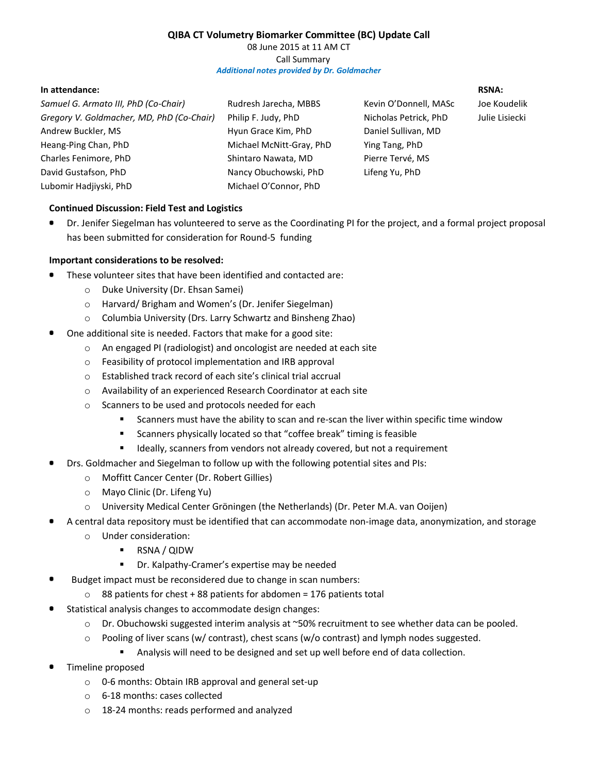# **QIBA CT Volumetry Biomarker Committee (BC) Update Call**

08 June 2015 at 11 AM CT Call Summary *Additional notes provided by Dr. Goldmacher*

#### **In attendance:**

*Samuel G. Armato III, PhD (Co-Chair) Gregory V. Goldmacher, MD, PhD (Co-Chair)* Andrew Buckler, MS Heang-Ping Chan, PhD Charles Fenimore, PhD David Gustafson, PhD Lubomir Hadjiyski, PhD

Rudresh Jarecha, MBBS Philip F. Judy, PhD Hyun Grace Kim, PhD Michael McNitt-Gray, PhD Shintaro Nawata, MD Nancy Obuchowski, PhD Michael O'Connor, PhD

Kevin O'Donnell, MASc Nicholas Petrick, PhD Daniel Sullivan, MD Ying Tang, PhD Pierre Tervé, MS Lifeng Yu, PhD

# **RSNA:** Joe Koudelik Julie Lisiecki

# **Continued Discussion: Field Test and Logistics**

 $\bullet$ Dr. Jenifer Siegelman has volunteered to serve as the Coordinating PI for the project, and a formal project proposal has been submitted for consideration for Round-5 funding

### **Important considerations to be resolved:**

- These volunteer sites that have been identified and contacted are:
	- o Duke University (Dr. Ehsan Samei)
	- o Harvard/ Brigham and Women's (Dr. Jenifer Siegelman)
	- o Columbia University (Drs. Larry Schwartz and Binsheng Zhao)
- One additional site is needed. Factors that make for a good site:
	- o An engaged PI (radiologist) and oncologist are needed at each site
	- o Feasibility of protocol implementation and IRB approval
	- o Established track record of each site's clinical trial accrual
	- o Availability of an experienced Research Coordinator at each site
	- o Scanners to be used and protocols needed for each
		- **Scanners must have the ability to scan and re-scan the liver within specific time window**
		- Scanners physically located so that "coffee break" timing is feasible
		- **If ally, scanners from vendors not already covered, but not a requirement**
- Drs. Goldmacher and Siegelman to follow up with the following potential sites and PIs:
	- o Moffitt Cancer Center (Dr. Robert Gillies)
	- o Mayo Clinic (Dr. Lifeng Yu)
	- o University Medical Center Grӧningen (the Netherlands) (Dr. Peter M.A. van Ooijen)
- A central data repository must be identified that can accommodate non-image data, anonymization, and storage
	- o Under consideration:
		- RSNA / QIDW
		- **Dr.** Kalpathy-Cramer's expertise may be needed
- Budget impact must be reconsidered due to change in scan numbers:
	- $\circ$  88 patients for chest + 88 patients for abdomen = 176 patients total
- Statistical analysis changes to accommodate design changes:
	- o Dr. Obuchowski suggested interim analysis at ~50% recruitment to see whether data can be pooled.
	- o Pooling of liver scans (w/ contrast), chest scans (w/o contrast) and lymph nodes suggested.
		- Analysis will need to be designed and set up well before end of data collection.
- Timeline proposed
	- o 0-6 months: Obtain IRB approval and general set-up
	- o 6-18 months: cases collected
	- o 18-24 months: reads performed and analyzed